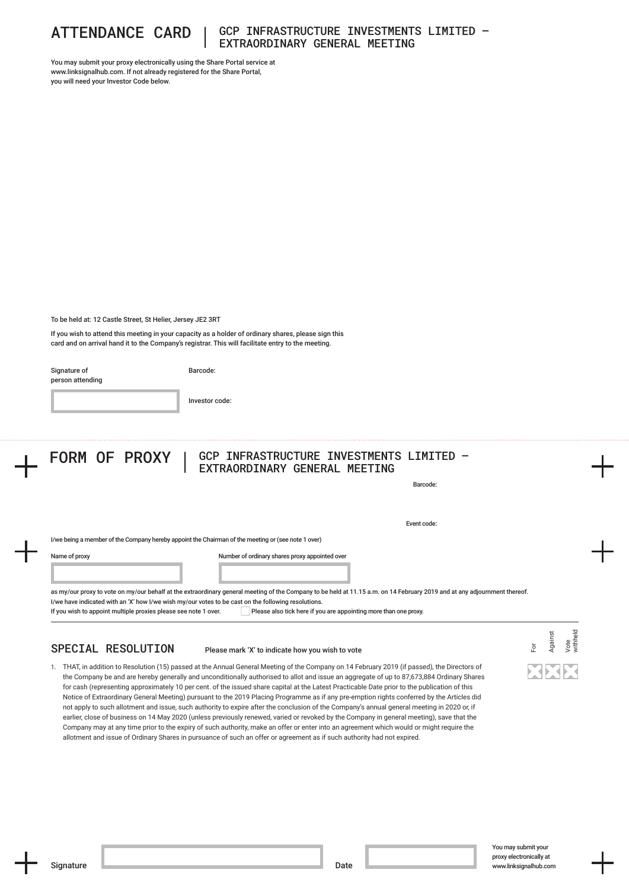

### ATTENDANCE CARD | GCP INFRASTRUCTURE INVESTMENTS LIMITED – EXTRAORDINARY GENERAL MEETING

You may submit your proxy electronically using the Share Portal service at www.linksignalhub.com. If not already registered for the Share Portal. you will need your Investor Code below.

To be held at: 12 Castle Street, St Helier, Jersey JE2 3RT

If you wish to attend this meeting in your capacity as a holder of ordinary shares, please sign this card and on arrival hand it to the Company's registrar. This will facilitate entry to the meeting.

Signature of person attending Barcode:

Investor code:

# FORM OF PROXY | GCP INFRASTRUCTURE INVESTMENTS LIMITED -EXTRAORDINARY GENERAL MEETING

Barcode:

Event code:

I/we being a member of the Company hereby appoint the Chairman of the meeting or (see note 1 over)

Name of proxy

Number of ordinary shares proxy appointed over

as my/our proxy to vote on my/our behalf at the extraordinary general meeting of the Company to be held at 11.15 a.m. on 14 February 2019 and at any adjournment thereof. I/we have indicated with an 'X' how I/we wish my/our votes to be cast on the following resolutions. If you wish to appoint multiple proxies please see note 1 over. Please also tick here if you are appointing more than one proxy.

# SPECIAL RESOLUTION

### Please mark 'X' to indicate how you wish to vote

1. THAT, in addition to Resolution (15) passed at the Annual General Meeting of the Company on 14 February 2019 (if passed), the Directors of the Company be and are hereby generally and unconditionally authorised to allot and issue an aggregate of up to 87,673,884 Ordinary Shares for cash (representing approximately 10 per cent. of the issued share capital at the Latest Practicable Date prior to the publication of this Notice of Extraordinary General Meeting) pursuant to the 2019 Placing Programme as if any pre‑emption rights conferred by the Articles did not apply to such allotment and issue, such authority to expire after the conclusion of the Company's annual general meeting in 2020 or, if earlier, close of business on 14 May 2020 (unless previously renewed, varied or revoked by the Company in general meeting), save that the Company may at any time prior to the expiry of such authority, make an offer or enter into an agreement which would or might require the allotment and issue of Ordinary Shares in pursuance of such an offer or agreement as if such authority had not expired.

For

Against Vote withheld